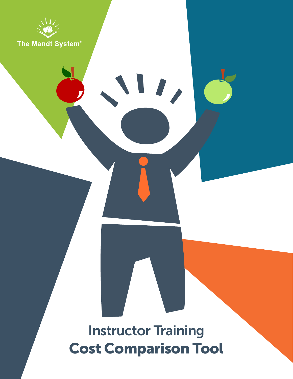

## Instructor Training Cost Comparison Tool

 $\mathbf{I}_{I}$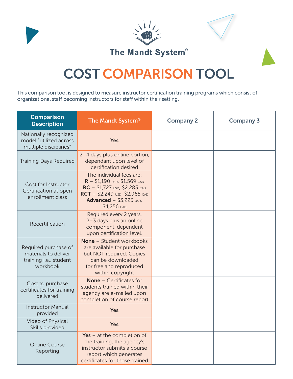

## COST COMPARISON TOOL

This comparison tool is designed to measure instructor certification training programs which consist of organizational staff becoming instructors for staff within their setting.

| <b>Comparison</b><br><b>Description</b>                                            | The Mandt System <sup>®</sup>                                                                                                                                                       | <b>Company 2</b> | <b>Company 3</b> |
|------------------------------------------------------------------------------------|-------------------------------------------------------------------------------------------------------------------------------------------------------------------------------------|------------------|------------------|
| Nationally recognized<br>model "utilized across<br>multiple disciplines"           | Yes                                                                                                                                                                                 |                  |                  |
| <b>Training Days Required</b>                                                      | 2-4 days plus online portion,<br>dependant upon level of<br>certification desired                                                                                                   |                  |                  |
| Cost for Instructor<br>Certification at open<br>enrollment class                   | The individual fees are:<br>$R - $1,190$ USD, \$1,569 CAD<br>RC - \$1,727 USD, \$2,283 CAD<br>$RCT - $2,249$ USD, \$2,965 CAD<br>Advanced $-$ \$3,223 $\text{USD}$ ,<br>\$4,256 CAD |                  |                  |
| Recertification                                                                    | Required every 2 years.<br>2-3 days plus an online<br>component, dependent<br>upon certification level.                                                                             |                  |                  |
| Required purchase of<br>materials to deliver<br>training i.e., student<br>workbook | None - Student workbooks<br>are available for purchase<br>but NOT required. Copies<br>can be downloaded<br>for free and reproduced<br>within copyright                              |                  |                  |
| Cost to purchase<br>certificates for training<br>delivered                         | <b>None</b> - Certificates for<br>students trained within their<br>agency are e-mailed upon<br>completion of course report                                                          |                  |                  |
| <b>Instructor Manual</b><br>provided                                               | Yes                                                                                                                                                                                 |                  |                  |
| Video of Physical<br>Skills provided                                               | <b>Yes</b>                                                                                                                                                                          |                  |                  |
| <b>Online Course</b><br>Reporting                                                  | Yes – at the completion of<br>the training, the agency's<br>instructor submits a course<br>report which generates<br>certificates for those trained                                 |                  |                  |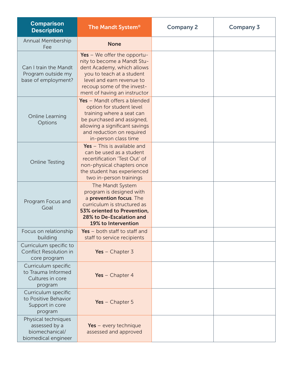| <b>Comparison</b><br><b>Description</b>                                       | The Mandt System <sup>®</sup>                                                                                                                                                                                      | <b>Company 2</b> | <b>Company 3</b> |
|-------------------------------------------------------------------------------|--------------------------------------------------------------------------------------------------------------------------------------------------------------------------------------------------------------------|------------------|------------------|
| Annual Membership<br>Fee                                                      | <b>None</b>                                                                                                                                                                                                        |                  |                  |
| Can I train the Mandt<br>Program outside my<br>base of employment?            | Yes $-$ We offer the opportu-<br>nity to become a Mandt Stu-<br>dent Academy, which allows<br>you to teach at a student<br>level and earn revenue to<br>recoup some of the invest-<br>ment of having an instructor |                  |                  |
| Online Learning<br>Options                                                    | Yes - Mandt offers a blended<br>option for student level<br>training where a seat can<br>be purchased and assigned,<br>allowing a significant savings<br>and reduction on required<br>in-person class time         |                  |                  |
| <b>Online Testing</b>                                                         | Yes $-$ This is available and<br>can be used as a student<br>recertification 'Test Out' of<br>non-physical chapters once<br>the student has experienced<br>two in-person trainings                                 |                  |                  |
| Program Focus and<br>Goal                                                     | The Mandt System<br>program is designed with<br>a prevention focus. The<br>curriculum is structured as<br>53% oriented to Prevention,<br>28% to De-Escalation and<br>19% to Intervention                           |                  |                  |
| Focus on relationship<br>building                                             | Yes $-$ both staff to staff and<br>staff to service recipients                                                                                                                                                     |                  |                  |
| Curriculum specific to<br>Conflict Resolution in<br>core program              | Yes $-$ Chapter 3                                                                                                                                                                                                  |                  |                  |
| Curriculum specific<br>to Trauma Informed<br>Cultures in core<br>program      | Yes $-$ Chapter 4                                                                                                                                                                                                  |                  |                  |
| Curriculum specific<br>to Positive Behavior<br>Support in core<br>program     | Yes $-$ Chapter 5                                                                                                                                                                                                  |                  |                  |
| Physical techniques<br>assessed by a<br>biomechanical/<br>biomedical engineer | Yes - every technique<br>assessed and approved                                                                                                                                                                     |                  |                  |